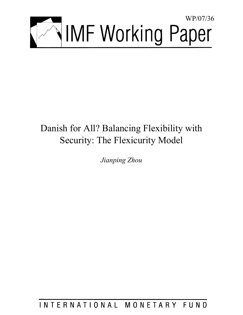

# Danish for All? Balancing Flexibility with Security: The Flexicurity Model

*Jianping Zhou* 

INTERNATIONAL MONETARY FUND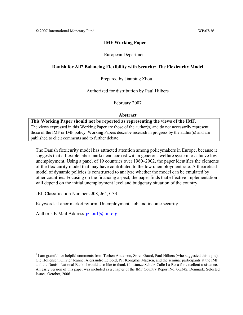# **IMF Working Paper**

# European Department

# **Danish for All? Balancing Flexibility with Security: The Flexicurity Model**

Prepared by Jianping Zhou<sup>1</sup>

Authorized for distribution by Paul Hilbers

February 2007

## **Abstract**

**This Working Paper should not be reported as representing the views of the IMF.** The views expressed in this Working Paper are those of the author(s) and do not necessarily represent those of the IMF or IMF policy. Working Papers describe research in progress by the author(s) and are published to elicit comments and to further debate.

The Danish flexicurity model has attracted attention among policymakers in Europe, because it suggests that a flexible labor market can coexist with a generous welfare system to achieve low unemployment. Using a panel of 19 countries over 1960–2002, the paper identifies the elements of the flexicurity model that may have contributed to the low unemployment rate. A theoretical model of dynamic policies is constructed to analyze whether the model can be emulated by other countries. Focusing on the financing aspect, the paper finds that effective implementation will depend on the initial unemployment level and budgetary situation of the country.

JEL Classification Numbers: J08, J64, C33

Keywords: Labor market reform; Unemployment; Job and income security

Author's E-Mail Address: jzhou1@imf.org

 $\overline{a}$ 

<sup>&</sup>lt;sup>1</sup> I am grateful for helpful comments from Torben Anderson, Søren Gaard, Paul Hilbers (who suggested this topic), Ole Hollensen, Olivier Jeanne, Alessandro Leipold, Per Kongshøj Madsen, and the seminar participants at the IMF and the Danish National Bank. I would also like to thank Constanze Schulz-Calle La Rosa for excellent assistance. An early version of this paper was included as a chapter of the IMF Country Report No. 06/342, Denmark: Selected Issues, October, 2006.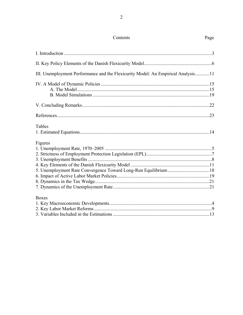# Contents

Page

| III. Unemployment Performance and the Flexicurity Model: An Empirical Analysis11 |     |
|----------------------------------------------------------------------------------|-----|
|                                                                                  |     |
|                                                                                  |     |
|                                                                                  |     |
|                                                                                  | .22 |
|                                                                                  | .23 |
| Tables                                                                           |     |
|                                                                                  |     |
| Figures                                                                          |     |
|                                                                                  |     |
|                                                                                  |     |
|                                                                                  |     |
|                                                                                  |     |
|                                                                                  |     |
|                                                                                  |     |
|                                                                                  |     |

**Boxes** 

| DUACS |  |
|-------|--|
|       |  |
|       |  |
|       |  |
|       |  |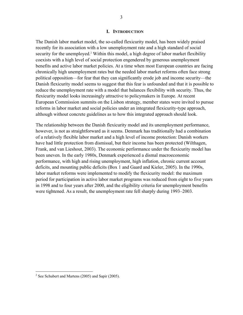#### **I. INTRODUCTION**

The Danish labor market model, the so-called flexicurity model, has been widely praised recently for its association with a low unemployment rate and a high standard of social security for the unemployed.<sup>2</sup> Within this model, a high degree of labor market flexibility coexists with a high level of social protection engendered by generous unemployment benefits and active labor market policies. At a time when most European countries are facing chronically high unemployment rates but the needed labor market reforms often face strong political opposition—for fear that they can significantly erode job and income security—the Danish flexicurity model seems to suggest that this fear is unfounded and that it is possible to reduce the unemployment rate with a model that balances flexibility with security. Thus, the flexicurity model looks increasingly attractive to policymakers in Europe. At recent European Commission summits on the Lisbon strategy, member states were invited to pursue reforms in labor market and social policies under an integrated flexicurity-type approach, although without concrete guidelines as to how this integrated approach should look.

The relationship between the Danish flexicurity model and its unemployment performance, however, is not as straightforward as it seems. Denmark has traditionally had a combination of a relatively flexible labor market and a high level of income protection: Danish workers have had little protection from dismissal, but their income has been protected (Wilthagen, Frank, and van Lieshout, 2003). The economic performance under the flexicurity model has been uneven. In the early 1980s, Denmark experienced a dismal macroeconomic performance, with high and rising unemployment, high inflation, chronic current account deficits, and mounting public deficits (Box 1 and Gaard and Kieler, 2005). In the 1990s, labor market reforms were implemented to modify the flexicurity model: the maximum period for participation in active labor market programs was reduced from eight to five years in 1998 and to four years after 2000, and the eligibility criteria for unemployment benefits were tightened. As a result, the unemployment rate fell sharply during 1993–2003.

<sup>&</sup>lt;sup>2</sup> See Schubert and Martens (2005) and Sapir (2005).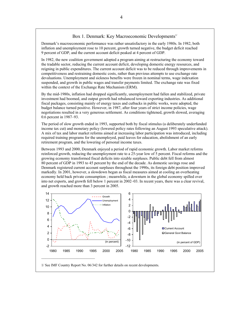## Box 1. Denmark: Key Macroeconomic Developments<sup>1/</sup>

Denmark's macroeconomic performance was rather unsatisfactory in the early 1980s. In 1982, both inflation and unemployment rose to 10 percent, growth turned negative, the budget deficit reached 9 percent of GDP, and the current account deficit peaked at 4 percent of GDP.

In 1982, the new coalition government adopted a program aiming at restructuring the economy toward the tradable sector, reducing the current account deficit, developing domestic energy resources, and reigning in public expenditures. The current account deficit was to be reduced through improvements in competitiveness and restraining domestic costs, rather than previous attempts to use exchange rate devaluations. Unemployment and sickness benefits were frozen in nominal terms, wage indexation suspended, and growth in public wages and transfer payments limited. The exchange rate was fixed within the context of the Exchange Rate Mechanism (ERM).

By the mid-1980s, inflation had dropped significantly, unemployment had fallen and stabilized, private investment had boomed, and output growth had rebalanced toward exporting industries. As additional fiscal packages, consisting mainly of energy taxes and cutbacks in public works, were adopted, the budget balance turned positive. However, in 1987, after four years of strict income policies, wage negotiations resulted in a very generous settlement. As conditions tightened, growth slowed, averaging 0.6 percent in 1987–93.

The period of slow growth ended in 1993, supported both by fiscal stimulus (a deliberately underfunded income tax cut) and monetary policy (lowered policy rates following an August 1993 speculative attack). A mix of tax and labor market reforms aimed at increasing labor participation was introduced, including required training programs for the unemployed, paid leaves for education, abolishment of an early retirement program, and the lowering of personal income taxes.

Between 1993 and 2000, Denmark enjoyed a period of rapid economic growth. Labor market reforms reinforced growth, reducing the unemployment rate to a 25-year low of 5 percent. Fiscal reforms and the growing economy transformed fiscal deficits into sizable surpluses. Public debt fell from almost 80 percent of GDP in 1993 to 45 percent by the end of the decade. As domestic savings rose and Denmark registered current account surpluses throughout the 1990s, its foreign debt position improved markedly. In 2001, however, a slowdown began as fiscal measures aimed at cooling an overheating economy held back private consumption ; meanwhile, a downturn in the global economy spilled over into net exports, and growth fell below 1 percent in 2002–03. In recent years, there was a clear revival, and growth reached more than 3 percent in 2005.



1/ See IMF Country Report No. 06/342 for further details on recent developments.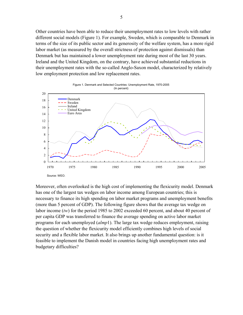Other countries have been able to reduce their unemployment rates to low levels with rather different social models (Figure 1). For example, Sweden, which is comparable to Denmark in terms of the size of its public sector and its generosity of the welfare system, has a more rigid labor market (as measured by the overall strictness of protection against dismissals) than Denmark but has maintained a lower unemployment rate during most of the last 30 years. Ireland and the United Kingdom, on the contrary, have achieved substantial reductions in their unemployment rates with the so-called Anglo-Saxon model, characterized by relatively low employment protection and low replacement rates.



Moreover, often overlooked is the high cost of implementing the flexicurity model. Denmark has one of the largest tax wedges on labor income among European countries; this is necessary to finance its high spending on labor market programs and unemployment benefits (more than 5 percent of GDP). The following figure shows that the average tax wedge on labor income (*tw*) for the period 1985 to 2002 exceeded 60 percent, and about 40 percent of per capita GDP was transferred to finance the average spending on active labor market programs for each unemployed (*almp*1). The large tax wedge reduces employment, raising the question of whether the flexicurity model efficiently combines high levels of social security and a flexible labor market. It also brings up another fundamental question: is it feasible to implement the Danish model in countries facing high unemployment rates and budgetary difficulties?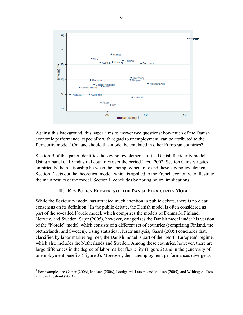

Against this background, this paper aims to answer two questions: how much of the Danish economic performance, especially with regard to unemployment, can be attributed to the flexicurity model? Can and should this model be emulated in other European countries?

Section B of this paper identifies the key policy elements of the Danish flexicurity model. Using a panel of 19 industrial countries over the period 1960–2002, Section C investigates empirically the relationship between the unemployment rate and these key policy elements. Section D sets out the theoretical model, which is applied to the French economy, to illustrate the main results of the model. Section E concludes by noting policy implications.

# **II. KEY POLICY ELEMENTS OF THE DANISH FLEXICURITY MODEL**

While the flexicurity model has attracted much attention in public debate, there is no clear consensus on its definition.<sup>3</sup> In the public debate, the Danish model is often considered as part of the so-called Nordic model, which comprises the models of Denmark, Finland, Norway, and Sweden. Sapir (2005), however, categorizes the Danish model under his version of the "Nordic" model, which consists of a different set of countries (comprising Finland, the Netherlands, and Sweden). Using statistical cluster analysis, Gaard (2005) concludes that, classified by labor market regimes, the Danish model is part of the "North European" regime, which also includes the Netherlands and Sweden. Among these countries, however, there are large differences in the degree of labor market flexibility (Figure 2) and in the generosity of unemployment benefits (Figure 3). Moreover, their unemployment performances diverge as

1

<sup>&</sup>lt;sup>3</sup> For example, see Gazier (2006), Madsen (2006), Bredgaard, Larsen, and Madsen (2005), and Wilthagen, Tros, and van Lieshout (2003).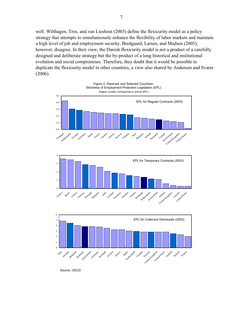well. Wilthagen, Tros, and van Lieshout (2003) define the flexicurity model as a policy strategy that attempts to simultaneously enhance the flexibility of labor markets and maintain a high level of job and employment security. Bredgaard, Larsen, and Madsen (2005), however, disagree. In their view, the Danish flexicurity model is not a product of a carefully designed and deliberate strategy but the by-product of a long historical and institutional evolution and social compromises. Therefore, they doubt that it would be possible to duplicate the flexicurity model in other countries, a view also shared by Anderson and Svarer (2006).



Source: OECD.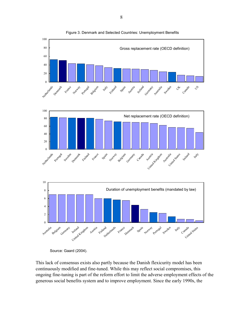

Figure 3. Denmark and Selected Countries: Unemployment Benefits

This lack of consensus exists also partly because the Danish flexicurity model has been continuously modified and fine-tuned. While this may reflect social compromises, this ongoing fine-tuning is part of the reform effort to limit the adverse employment effects of the generous social benefits system and to improve employment. Since the early 1990s, the

Source: Gaard (2004).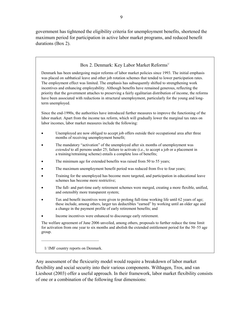government has tightened the eligibility criteria for unemployment benefits, shortened the maximum period for participation in active labor market programs, and reduced benefit durations (Box 2).

Box 2. Denmark: Key Labor Market Reforms<sup>1/</sup>

Denmark has been undergoing major reforms of labor market policies since 1993. The initial emphasis was placed on sabbatical leave and other job rotation schemes that tended to lower participation rates. The employment effect was limited. The emphasis has subsequently shifted to strengthening work incentives and enhancing employability. Although benefits have remained generous, reflecting the priority that the government attaches to preserving a fairly egalitarian distribution of income, the reforms have been associated with reductions in structural unemployment, particularly for the young and longterm unemployed.

Since the end-1990s, the authorities have introduced further measures to improve the functioning of the labor market. Apart from the income tax reform, which will gradually lower the marginal tax rates on labor incomes, labor market measures include the following:

- Unemployed are now obliged to accept job offers outside their occupational area after three months of receiving unemployment benefit;
- The mandatory "activation" of the unemployed after six months of unemployment was *extended* to all persons under 25; failure to activate (i.e., to accept a job or a placement in a training/retraining scheme) entails a complete loss of benefits;
- The minimum age for extended benefits was raised from 50 to 55 years;
- The maximum unemployment benefit period was reduced from five to four years;
- Training for the unemployed has become more targeted, and participation in educational leave schemes has become more restrictive;
- The full- and part-time early retirement schemes were merged, creating a more flexible, unified, and ostensibly more transparent system;
- Tax and benefit incentives were given to prolong full-time working life until 62 years of age; these include, among others, larger tax deductibles "earned" by working until an older age and a change in the payment profile of early retirement benefits; and
- Income incentives were enhanced to discourage early retirement.

The welfare agreement of June 2006 unveiled, among others, proposals to further reduce the time limit for activation from one year to six months and abolish the extended entitlement period for the 50–55 age group.

1/ IMF country reports on Denmark.

 $\mathcal{L}_\text{max}$ 

Any assessment of the flexicurity model would require a breakdown of labor market flexibility and social security into their various components. Wilthagen, Tros, and van Lieshout (2003) offer a useful approach. In their framework, labor market flexibility consists of one or a combination of the following four dimensions: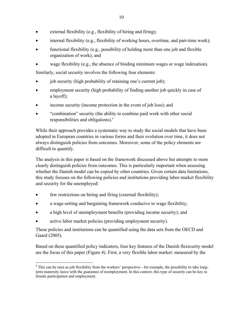- external flexibility (e.g., flexibility of hiring and firing);
- internal flexibility (e.g., flexibility of working hours, overtime, and part-time work);
- functional flexibility (e.g., possibility of holding more than one job and flexible organization of work); and
- wage flexibility (e.g., the absence of binding minimum wages or wage indexation).

Similarly, social security involves the following four elements:

- job security (high probability of retaining one's current job);
- employment security (high probability of finding another job quickly in case of a layoff);
- income security (income protection in the event of job loss); and
- "combination" security (the ability to combine paid work with other social responsibilities and obligations).4

While their approach provides a systematic way to study the social models that have been adopted in European countries in various forms and their evolution over time, it does not always distinguish policies from outcomes. Moreover, some of the policy elements are difficult to quantify.

The analysis in this paper is based on the framework discussed above but attempts to more clearly distinguish policies from outcomes. This is particularly important when assessing whether the Danish model can be copied by other countries. Given certain data limitations, this study focuses on the following policies and institutions providing labor market flexibility and security for the unemployed:

- few restrictions on hiring and firing (external flexibility);
- a wage-setting and bargaining framework conducive to wage flexibility;
- a high level of unemployment benefits (providing income security); and
- active labor market policies (providing employment security).

These policies and institutions can be quantified using the data sets from the OECD and Gaard (2005).

Based on these quantified policy indicators, four key features of the Danish flexicurity model are the focus of this paper (Figure 4). First, a very flexible labor market: measured by the

 $\overline{a}$ <sup>4</sup> This can be seen as job flexibility from the workers' perspective—for example, the possibility to take longterm maternity leave with the guarantee of reemployment. In this context, this type of security can be key to female participation and employment.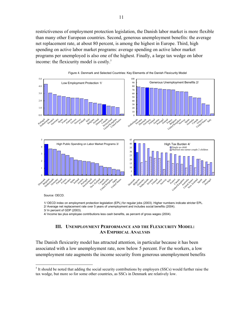restrictiveness of employment protection legislation, the Danish labor market is more flexible than many other European countries. Second, generous unemployment benefits: the average net replacement rate, at about 80 percent, is among the highest in Europe. Third, high spending on active labor market programs: average spending on active labor market programs per unemployed is also one of the highest. Finally, a large tax wedge on labor income: the flexicurity model is costly.<sup>5</sup>





Source: OECD.

 $\overline{a}$ 

 1/ OECD index on employment protection legislation (EPL) for regular jobs (2003). Higher numbers indicate stricter EPL. 2/ Average net replacement rate over 5 years of unemployment and includes social benefits (2004).

3/ In percent of GDP (2003).

4/ Income tax plus employee contributions less cash benefits, as percent of gross wages (2004).

## **III. UNEMPLOYMENT PERFORMANCE AND THE FLEXICURITY MODEL: AN EMPIRICAL ANALYSIS**

The Danish flexicurity model has attracted attention, in particular because it has been associated with a low unemployment rate, now below 5 percent. For the workers, a low unemployment rate augments the income security from generous unemployment benefits

 $<sup>5</sup>$  It should be noted that adding the social security contributions by employers (SSCs) would further raise the</sup> tax wedge, but more so for some other countries, as SSCs in Denmark are relatively low.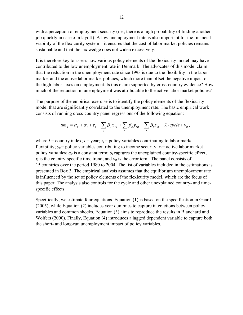with a perception of employment security (i.e., there is a high probability of finding another job quickly in case of a layoff). A low unemployment rate is also important for the financial viability of the flexicurity system—it ensures that the cost of labor market policies remains sustainable and that the tax wedge does not widen excessively.

It is therefore key to assess how various policy elements of the flexicurity model may have contributed to the low unemployment rate in Denmark. The advocates of this model claim that the reduction in the unemployment rate since 1993 is due to the flexibility in the labor market and the active labor market policies, which more than offset the negative impact of the high labor taxes on employment. Is this claim supported by cross-country evidence? How much of the reduction in unemployment was attributable to the active labor market policies?

The purpose of the empirical exercise is to identify the policy elements of the flexicurity model that are significantly correlated to the unemployment rate. The basic empirical work consists of running cross-country panel regressions of the following equation:

$$
um_{it} = \alpha_0 + \alpha_i + \tau_i + \sum_j \beta_j x_{jit} + \sum_k \beta_k y_{kit} + \sum_l \beta_l z_{lit} + \lambda \cdot cycle + v_{it},
$$

where  $I =$  country index;  $t =$  year;  $x_i =$  policy variables contributing to labor market flexibility;  $v_k$  = policy variables contributing to income security;  $z_l$  = active labor market policy variables;  $\alpha_0$  is a constant term;  $\alpha_i$  captures the unexplained country-specific effect;  $\tau_i$  is the country-specific time trend; and  $v_i$  is the error term. The panel consists of 15 countries over the period 1980 to 2004. The list of variables included in the estimations is presented in Box 3. The empirical analysis assumes that the equilibrium unemployment rate is influenced by the set of policy elements of the flexicurity model, which are the focus of this paper. The analysis also controls for the cycle and other unexplained country- and timespecific effects.

Specifically, we estimate four equations. Equation (1) is based on the specification in Gaard (2005), while Equation (2) includes year dummies to capture interactions between policy variables and common shocks. Equation (3) aims to reproduce the results in Blanchard and Wolfers (2000). Finally, Equation (4) introduces a lagged dependent variable to capture both the short- and long-run unemployment impact of policy variables.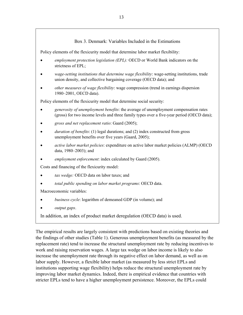# Box 3. Denmark: Variables Included in the Estimations

Policy elements of the flexicurity model that determine labor market flexibility:

- *employment protection legislation (EPL):* OECD or World Bank indicators on the strictness of EPL;
- *wage-setting institutions that determine wage flexibility*: wage-setting institutions, trade union density, and collective bargaining coverage (OECD data); and
- *other measures of wage flexibility*: wage compression (trend in earnings dispersion 1980–2001, OECD data).

Policy elements of the flexicurity model that determine social security:

- *generosity of unemployment benefits*: the average of unemployment compensation rates (gross) for two income levels and three family types over a five-year period (OECD data);
- *gross and net replacement ratio*: Gaard (2005);
- *duration of benefits*: (1) legal durations; and (2) index constructed from gross unemployment benefits over five years (Gaard, 2005);
- *active labor market policies*: expenditure on active labor market policies (ALMP) (OECD data, 1980–2003); and
- *employment enforcement*: index calculated by Gaard (2005).

Costs and financing of the flexicurity model:

- *tax wedge:* OECD data on labor taxes; and
- *total public spending on labor market programs*: OECD data.

Macroeconomic variables:

- *business cycle*: logarithm of demeaned GDP (in volume); and
- *output gaps*.

In addition, an index of product market deregulation (OECD data) is used.

The empirical results are largely consistent with predictions based on existing theories and the findings of other studies (Table 1). Generous unemployment benefits (as measured by the replacement rate) tend to increase the structural unemployment rate by reducing incentives to work and raising reservation wages. A large tax wedge on labor income is likely to also increase the unemployment rate through its negative effect on labor demand, as well as on labor supply. However, a flexible labor market (as measured by less strict EPLs and institutions supporting wage flexibility) helps reduce the structural unemployment rate by improving labor market dynamics. Indeed, there is empirical evidence that countries with stricter EPLs tend to have a higher unemployment persistence. Moreover, the EPLs could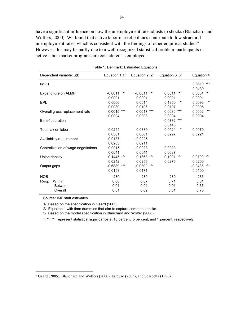have a significant influence on how the unemployment rate adjusts to shocks (Blanchard and Wolfers, 2000). We found that active labor market policies contribute to low structural unemployment rates, which is consistent with the findings of other empirical studies.<sup>6</sup> However, this may be partly due to a well-recognized statistical problem: participants in active labor market programs are considered as employed.

| Dependent variable: u(t)                                   | Equation 1 1/               | Equation 2 2/               | Equation 3 3/               | Equation 4                   |
|------------------------------------------------------------|-----------------------------|-----------------------------|-----------------------------|------------------------------|
| $u(t-1)$                                                   |                             |                             |                             | ***<br>0.6910                |
| Expenditure on ALMP                                        | $***$<br>$-0.0011$          | $-0.0011$<br>***            | 0.0011<br>$***$             | 0.0439<br>0.0004<br>***      |
| EPL                                                        | 0.0001<br>0.0006            | 0.0001<br>0.0014            | 0.0001<br>0.1850<br>*       | 0.0001<br>0.0096<br>$\ast$   |
| Overall gross replacement rate                             | 0.0080<br>0.0015<br>***     | 0.0106<br>$0.0017$ ***      | 0.0107<br>0.0030<br>***     | 0.0005<br>$***$<br>0.0002    |
| <b>Benefit duration</b>                                    | 0.0004                      | 0.0003                      | 0.0004<br>$-0.0732$<br>***  | 0.0004                       |
| Total tax on labor                                         | 0.0244                      | 0.0339                      | 0.0146<br>0.0524<br>$^\ast$ | 0.0070                       |
| Availability requirement                                   | 0.0361<br>$-0.0137$         | 0.0361<br>$-0.0225$         | 0.0297                      | 0.0221                       |
| Centralization of wage negotiations                        | 0.0203<br>0.0015            | 0.0211<br>$-0.0023$         | 0.0023                      |                              |
| Union density                                              | 0.0041<br>0.1445<br>***     | 0.0041<br>0.1363<br>***     | 0.0037<br>0.1991<br>$***$   | 0.0709<br>***                |
| Output gaps                                                | 0.0242<br>$-0.6889$<br>***  | 0.0255<br>$-0.0309$<br>***  | 0.0275                      | 0.0200<br>$-0.0436$<br>$***$ |
|                                                            | 0.0153                      | 0.0171                      |                             | 0.0100                       |
| <b>NOB</b><br>Within<br>R-sq:<br><b>Between</b><br>Overall | 230<br>0.60<br>0.01<br>0.01 | 230<br>0.67<br>0.01<br>0.02 | 230<br>0.71<br>0.01<br>0.01 | 236<br>0.81<br>0.66<br>0.70  |
|                                                            |                             |                             |                             |                              |

Table 1. Denmark: Estimated Equations

Source: IMF staff estimates.

1/ Based on the specification in Gaard (2005).

2/ Equation 1 with time dummies that aim to capture common shocks.

3/ Based on the model specification in Blanchard and Wolfer (2000).

\*, \*\*, \*\*\* represent statistical significance at 10 percent, 5 percent, and 1 percent, respectively.

 6 Gaard (2005), Blanchard and Wolfers (2000), Estevão (2003), and Scarpetta (1996).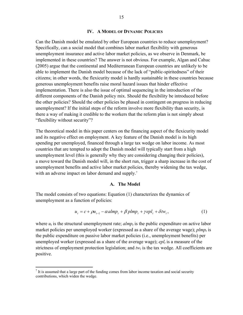## **IV. A MODEL OF DYNAMIC POLICIES**

Can the Danish model be emulated by other European countries to reduce unemployment? Specifically, can a social model that combines labor market flexibility with generous unemployment insurance and active labor market policies, as we observe in Denmark, be implemented in these countries? The answer is not obvious. For example, Algan and Cahuc (2005) argue that the continental and Mediterranean European countries are unlikely to be able to implement the Danish model because of the lack of "public-spiritedness" of their citizens; in other words, the flexicurity model is hardly sustainable in these countries because generous unemployment benefits raise moral hazard issues that hinder effective implementation. There is also the issue of optimal sequencing in the introduction of the different components of the Danish policy mix. Should the flexibility be introduced before the other policies? Should the other policies be phased in contingent on progress in reducing unemployment? If the initial steps of the reform involve more flexibility than security, is there a way of making it credible to the workers that the reform plan is not simply about "flexibility without security"?

The theoretical model in this paper centers on the financing aspect of the flexicurity model and its negative effect on employment. A key feature of the Danish model is its high spending per unemployed, financed through a large tax wedge on labor income. As most countries that are tempted to adopt the Danish model will typically start from a high unemployment level (this is generally why they are considering changing their policies), a move toward the Danish model will, in the short run, trigger a sharp increase in the cost of unemployment benefits and active labor market policies, thereby widening the tax wedge, with an adverse impact on labor demand and supply.<sup>7</sup>

## **A. The Model**

The model consists of two equations: Equation (1) characterizes the dynamics of unemployment as a function of policies:

$$
u_t = c + \rho u_{t-1} - \alpha \alpha l m p_t + \beta p l m p_t + \gamma e p l_t + \delta t w_t, \qquad (1)
$$

where  $u_t$  is the structural unemployment rate;  $\alpha l m p_t$  is the public expenditure on active labor market policies per unemployed worker (expressed as a share of the average wage);  $plmp<sub>t</sub>$  is the public expenditure on passive labor market policies (i.e., unemployment benefits) per unemployed worker (expressed as a share of the average wage);  $epl_t$  is a measure of the strictness of employment protection legislation; and  $tw_t$  is the tax wedge. All coefficients are positive.

 $\overline{a}$ 

 $<sup>7</sup>$  It is assumed that a large part of the funding comes from labor income taxation and social security</sup> contributions, which widen the wedge.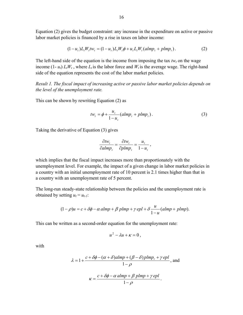Equation (2) gives the budget constraint: any increase in the expenditure on active or passive labor market policies is financed by a rise in taxes on labor income:

$$
(1 - u_t)L_t W_t t w_t = (1 - u_t)L_t W_t \phi + u_t L_t W_t (almp_t + plmp_t).
$$
 (2)

The left-hand side of the equation is the income from imposing the tax  $tw_t$  on the wage income  $(1 - u_t) L_t W_t$ , where  $L_t$  is the labor force and  $W_t$  is the average wage. The right-hand side of the equation represents the cost of the labor market policies.

*Result 1. The fiscal impact of increasing active or passive labor market policies depends on the level of the unemployment rate.*

This can be shown by rewriting Equation (2) as

$$
tw_t = \phi + \frac{u_t}{1 - u_t} (almp_t + plmp_t).
$$
 (3)

Taking the derivative of Equation (3) gives

$$
\frac{\partial t w_t}{\partial a l m p_t} = \frac{\partial t w_t}{\partial p l m p_t} = \frac{u_t}{1 - u_t},
$$

which implies that the fiscal impact increases more than proportionately with the unemployment level. For example, the impact of a given change in labor market policies in a country with an initial unemployment rate of 10 percent is 2.1 times higher than that in a country with an unemployment rate of 5 percent.

The long-run steady-state relationship between the policies and the unemployment rate is obtained by setting  $u_t = u_{t-1}$ .

$$
(1 - \rho)u = c + \delta\phi - \alpha \operatorname{almp} + \beta \operatorname{plmp} + \gamma \operatorname{epl} + \delta \frac{u}{1 - u} (\operatorname{almp} + \operatorname{plmp}).
$$

This can be written as a second-order equation for the unemployment rate:

$$
u^2 - \lambda u + \kappa = 0
$$

with

$$
\lambda = 1 + \frac{c + \delta\phi - (\alpha + \delta)almp + (\beta - \delta)plmp_t + \gamma epl}{1 - \rho}, \text{ and}
$$

$$
\kappa = \frac{c + \delta\phi - \alpha \, alm + \beta \, plmp + \gamma epl}{1 - \rho}.
$$

 $1-\rho$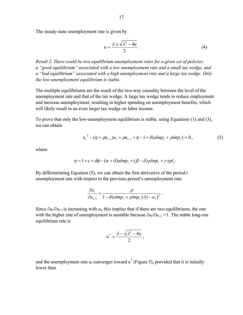The steady-state unemployment rate is given by

$$
u = \frac{\lambda \pm \sqrt{\lambda^2 - 4u}}{2} \,. \tag{4}
$$

*Result 2. There could be two equilibrium unemployment rates for a given set of policies: a "good equilibrium" associated with a low unemployment rate and a small tax wedge, and a "bad equilibrium" associated with a high unemployment rate and a large tax wedge. Only the low-unemployment equilibrium is stable.* 

The multiple equilibriums are the result of the two-way causality between the level of the unemployment rate and that of the tax wedge. A large tax wedge tends to reduce employment and increase unemployment, resulting in higher spending on unemployment benefits, which will likely result in an even larger tax wedge on labor income.

To prove that only the low-unemployment equilibrium is stable, using Equations (1) and (3), we can obtain

$$
u_t^2 - (\eta + \rho u_{t-1})u_t + \rho u_{t-1} + \eta - 1 + \delta(almp_t + plmp_t) = 0,
$$
\n(5)

where

$$
\eta = 1 + c + \delta \phi - (\alpha + \delta) \text{almp}_t + (\beta - \delta) \text{plmp}_t + \gamma \text{ epl}_t.
$$

By differentiating Equation (5), we can obtain the first derivative of the period *t* unemployment rate with respect to the previous period's unemployment rate:

$$
\frac{\partial u_t}{\partial u_{t-1}} = \frac{\rho}{1 - \delta(\text{almp}_t + \text{plmp}_t)/(1 - u_t)^2}.
$$

Since  $\partial u_{\ell}/\partial u_{t-1}$  is increasing with  $u_t$ , this implies that if there are two equilibriums, the one with the higher rate of unemployment is unstable because  $\partial u_i / \partial u_i$  > 1. The stable long-run equilibrium rate is

$$
u^*=\frac{\lambda-\sqrt{\lambda^2-4u}}{2},
$$

and the unemployment rate  $u_t$  converges toward  $u^*$  (Figure 5), provided that it is initially lower than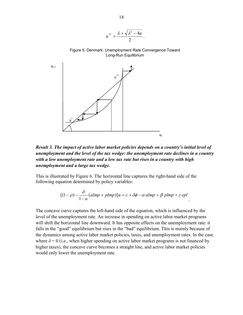$$
u^{**}=\frac{\lambda+\sqrt{\lambda^2-4u}}{2}.
$$

Figure 5. Denmark: Unemployment Rate Convergence Toward Long-Run Equilibrium



*Result 3. The impact of active labor market policies depends on a country's initial level of unemployment and the level of the tax wedge: the unemployment rate declines in a country with a low unemployment rate and a low tax rate but rises in a country with high unemployment and a large tax wedge.*

This is illustrated by Figure 6. The horizontal line captures the right-hand side of the following equation determined by policy variables:

$$
[(1 - \rho) - \frac{\delta}{1 - u}(almp + plmp)]u = c + \delta\phi - \alpha \, almp + \beta \, plmp + \gamma \, epl
$$

.

The concave curve captures the left-hand side of the equation, which is influenced by the level of the unemployment rate. An increase in spending on active labor market programs will shift the horizontal line downward. It has opposite effects on the unemployment rate: it falls in the "good" equilibrium but rises in the "bad" equilibrium. This is mainly because of the dynamics among active labor market policies, taxes, and unemployment rates. In the case where  $\delta = 0$  (i.e., when higher spending on active labor market programs is not financed by higher taxes), the concave curve becomes a straight line, and active labor market policies would only lower the unemployment rate.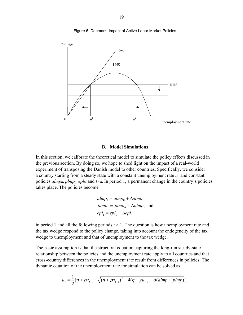

Figure 6. Denmark: Impact of Active Labor Market Policies

# **B. Model Simulations**

In this section, we calibrate the theoretical model to simulate the policy effects discussed in the previous section. By doing so, we hope to shed light on the impact of a real-world experiment of transposing the Danish model to other countries. Specifically, we consider a country starting from a steady state with a constant unemployment rate  $u_0$  and constant policies *almp*0, *plmp*0, *epl*0, and *tw*0. In period 1, a permanent change in the country's policies takes place. The policies become

$$
almp1 = almp0 + \Delta almp,
$$
  
plmp<sub>1</sub> = plmp<sub>0</sub> + \Delta plmp, and  
epl<sub>1</sub> = epl<sub>0</sub> + \Delta epl,

in period 1 and all the following periods *t* > 1. The question is how unemployment rate and the tax wedge respond to the policy change, taking into account the endogeneity of the tax wedge to unemployment and that of unemployment to the tax wedge.

The basic assumption is that the structural equation capturing the long-run steady-state relationship between the policies and the unemployment rate apply to all countries and that cross-country differences in the unemployment rate result from differences in policies. The dynamic equation of the unemployment rate for simulation can be solved as

$$
u_{t} = \frac{1}{2} [\eta + \rho u_{t-1} - \sqrt{(\eta + \rho u_{t-1})^{2} - 4(\eta + \rho u_{t-1} + \delta(almp + pImp)}].
$$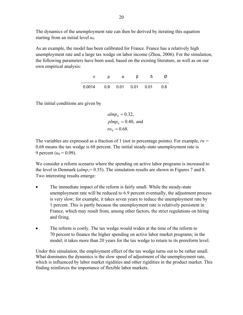The dynamics of the unemployment rate can then be derived by iterating this equation starting from an initial level  $u_0$ .

As an example, the model has been calibrated for France. France has a relatively high unemployment rate and a large tax wedge on labor income (Zhou, 2006). For the simulation, the following parameters have been used, based on the existing literature, as well as on our own empirical analysis:

|                                 | α | ß | $\circ$ |  |
|---------------------------------|---|---|---------|--|
| $0.0014$ 0.9 0.01 0.01 0.01 0.6 |   |   |         |  |

The initial conditions are given by

$$
almp0 = 0.32,
$$
  

$$
plmp0 = 0.40, and
$$
  

$$
tw0 = 0.68.
$$

The variables are expressed as a fraction of 1 (not in percentage points). For example,  $tw =$ 0.68 means the tax wedge is 68 percent. The initial steady-state unemployment rate is 9 percent ( $u_0$  = 0.09).

We consider a reform scenario where the spending on active labor programs is increased to the level in Denmark ( $\alpha lmp_1 = 0.55$ ). The simulation results are shown in Figures 7 and 8. Two interesting results emerge:

- The immediate impact of the reform is fairly small. While the steady-state unemployment rate will be reduced to 6.9 percent eventually, the adjustment process is very slow; for example, it takes seven years to reduce the unemployment rate by 1 percent. This is partly because the unemployment rate is relatively persistent in France, which may result from, among other factors, the strict regulations on hiring and firing.
- The reform is costly. The tax wedge would widen at the time of the reform to 70 percent to finance the higher spending on active labor market programs; in the model, it takes more than 20 years for the tax wedge to return to its prereform level.

Under this simulation, the employment effect of the tax wedge turns out to be rather small. What dominates the dynamics is the slow speed of adjustment of the unemployment rate, which is influenced by labor market rigidities and other rigidities in the product market. This finding reinforces the importance of flexible labor markets.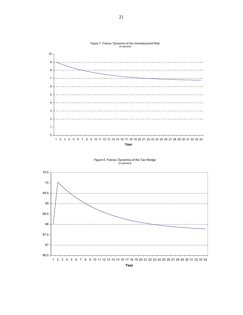

Figure 7. France: Dynamics of the Unemployment Rate (In percent)





**Year**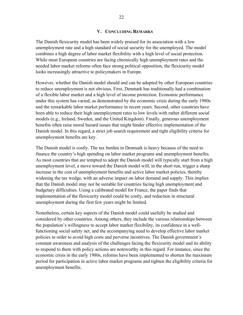## **V. CONCLUDING REMARKS**

The Danish flexicurity model has been widely praised for its association with a low unemployment rate and a high standard of social security for the unemployed. The model combines a high degree of labor market flexibility with a high level of social protection. While most European countries are facing chronically high unemployment rates and the needed labor market reforms often face strong political opposition, the flexicurity model looks increasingly attractive to policymakers in Europe.

However, whether the Danish model should and can be adopted by other European countries to reduce unemployment is not obvious. First, Denmark has traditionally had a combination of a flexible labor market and a high level of income protection. Economic performance under this system has varied, as demonstrated by the economic crisis during the early 1980s and the remarkable labor market performance in recent years. Second, other countries have been able to reduce their high unemployment rates to low levels with rather different social models (e.g., Ireland, Sweden, and the United Kingdom). Finally, generous unemployment benefits often raise moral hazard issues that might hinder effective implementation of the Danish model. In this regard, a strict job search requirement and tight eligibility criteria for unemployment benefits are key.

The Danish model is costly. The tax burden in Denmark is heavy because of the need to finance the country's high spending on labor market programs and unemployment benefits. As most countries that are tempted to adopt the Danish model will typically start from a high unemployment level, a move toward the Danish model will, in the short run, trigger a sharp increase in the cost of unemployment benefits and active labor market policies, thereby widening the tax wedge, with an adverse impact on labor demand and supply. This implies that the Danish model may not be suitable for countries facing high unemployment and budgetary difficulties. Using a calibrated model for France, the paper finds that implementation of the flexicurity model could be costly, and reduction in structural unemployment during the first few years might be limited.

Nonetheless, certain key aspects of the Danish model could usefully be studied and considered by other countries. Among others, they include the various relationships between the population's willingness to accept labor market flexibility, its confidence in a wellfunctioning social safety net, and the accompanying need to develop effective labor market policies in order to avoid high costs and perverse incentives. The Danish government's constant awareness and analysis of the challenges facing the flexicurity model and its ability to respond to them with policy actions are noteworthy in this regard. For instance, since the economic crisis in the early 1980s, reforms have been implemented to shorten the maximum period for participation in active labor market programs and tighten the eligibility criteria for unemployment benefits.